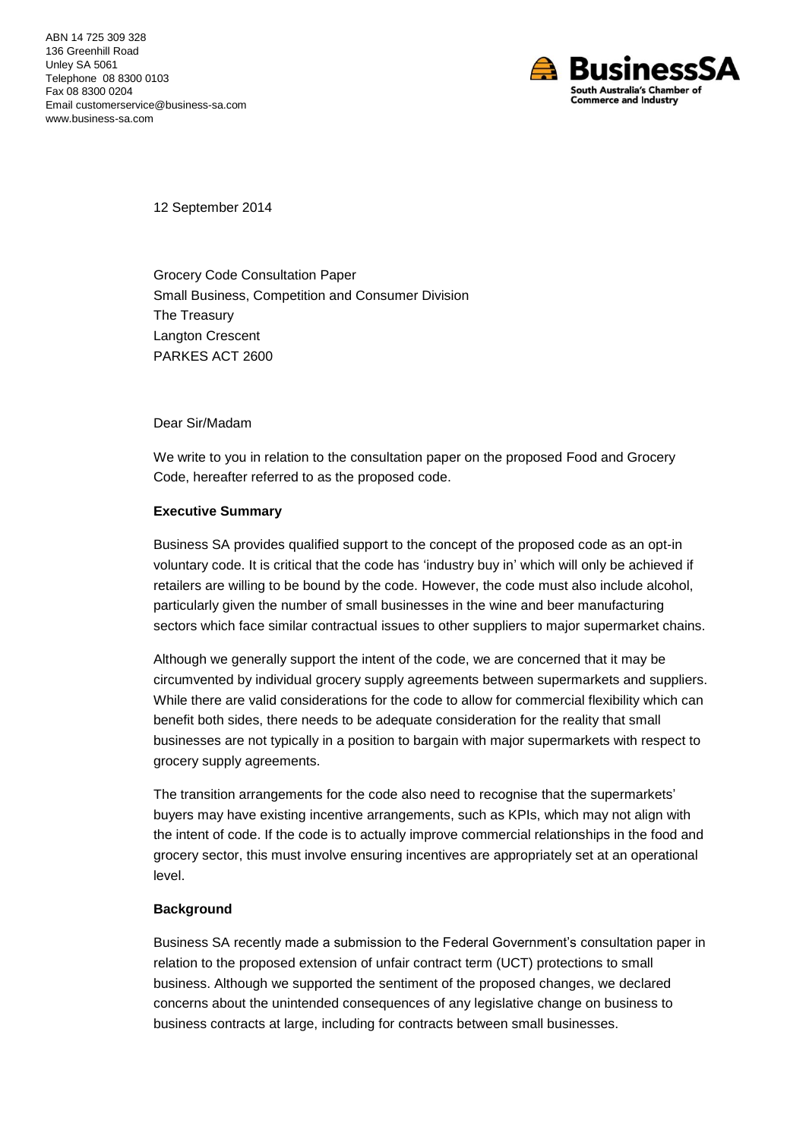

12 September 2014

Grocery Code Consultation Paper Small Business, Competition and Consumer Division The Treasury Langton Crescent PARKES ACT 2600

Dear Sir/Madam

We write to you in relation to the consultation paper on the proposed Food and Grocery Code, hereafter referred to as the proposed code.

## **Executive Summary**

Business SA provides qualified support to the concept of the proposed code as an opt-in voluntary code. It is critical that the code has 'industry buy in' which will only be achieved if retailers are willing to be bound by the code. However, the code must also include alcohol, particularly given the number of small businesses in the wine and beer manufacturing sectors which face similar contractual issues to other suppliers to major supermarket chains.

Although we generally support the intent of the code, we are concerned that it may be circumvented by individual grocery supply agreements between supermarkets and suppliers. While there are valid considerations for the code to allow for commercial flexibility which can benefit both sides, there needs to be adequate consideration for the reality that small businesses are not typically in a position to bargain with major supermarkets with respect to grocery supply agreements.

The transition arrangements for the code also need to recognise that the supermarkets' buyers may have existing incentive arrangements, such as KPIs, which may not align with the intent of code. If the code is to actually improve commercial relationships in the food and grocery sector, this must involve ensuring incentives are appropriately set at an operational level.

## **Background**

Business SA recently made a submission to the Federal Government's consultation paper in relation to the proposed extension of unfair contract term (UCT) protections to small business. Although we supported the sentiment of the proposed changes, we declared concerns about the unintended consequences of any legislative change on business to business contracts at large, including for contracts between small businesses.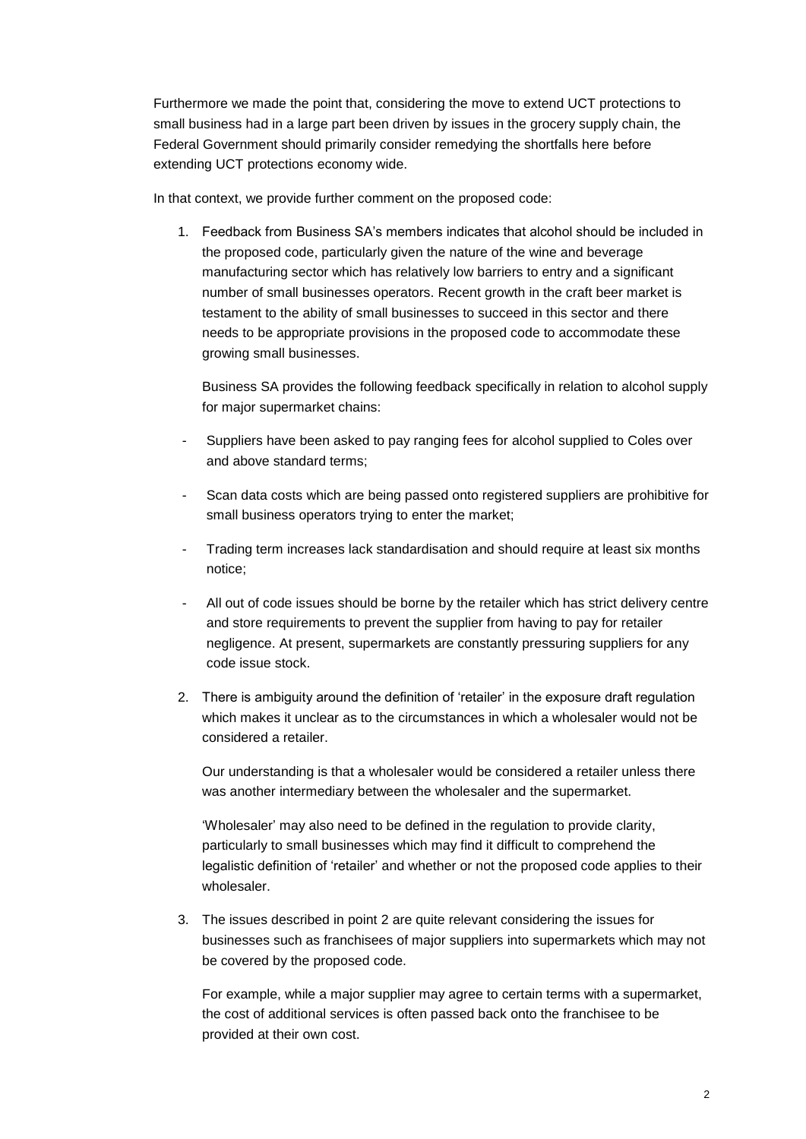Furthermore we made the point that, considering the move to extend UCT protections to small business had in a large part been driven by issues in the grocery supply chain, the Federal Government should primarily consider remedying the shortfalls here before extending UCT protections economy wide.

In that context, we provide further comment on the proposed code:

1. Feedback from Business SA's members indicates that alcohol should be included in the proposed code, particularly given the nature of the wine and beverage manufacturing sector which has relatively low barriers to entry and a significant number of small businesses operators. Recent growth in the craft beer market is testament to the ability of small businesses to succeed in this sector and there needs to be appropriate provisions in the proposed code to accommodate these growing small businesses.

Business SA provides the following feedback specifically in relation to alcohol supply for major supermarket chains:

- Suppliers have been asked to pay ranging fees for alcohol supplied to Coles over and above standard terms;
- Scan data costs which are being passed onto registered suppliers are prohibitive for small business operators trying to enter the market;
- Trading term increases lack standardisation and should require at least six months notice;
- All out of code issues should be borne by the retailer which has strict delivery centre and store requirements to prevent the supplier from having to pay for retailer negligence. At present, supermarkets are constantly pressuring suppliers for any code issue stock.
- 2. There is ambiguity around the definition of 'retailer' in the exposure draft regulation which makes it unclear as to the circumstances in which a wholesaler would not be considered a retailer.

Our understanding is that a wholesaler would be considered a retailer unless there was another intermediary between the wholesaler and the supermarket.

'Wholesaler' may also need to be defined in the regulation to provide clarity, particularly to small businesses which may find it difficult to comprehend the legalistic definition of 'retailer' and whether or not the proposed code applies to their wholesaler.

3. The issues described in point 2 are quite relevant considering the issues for businesses such as franchisees of major suppliers into supermarkets which may not be covered by the proposed code.

For example, while a major supplier may agree to certain terms with a supermarket, the cost of additional services is often passed back onto the franchisee to be provided at their own cost.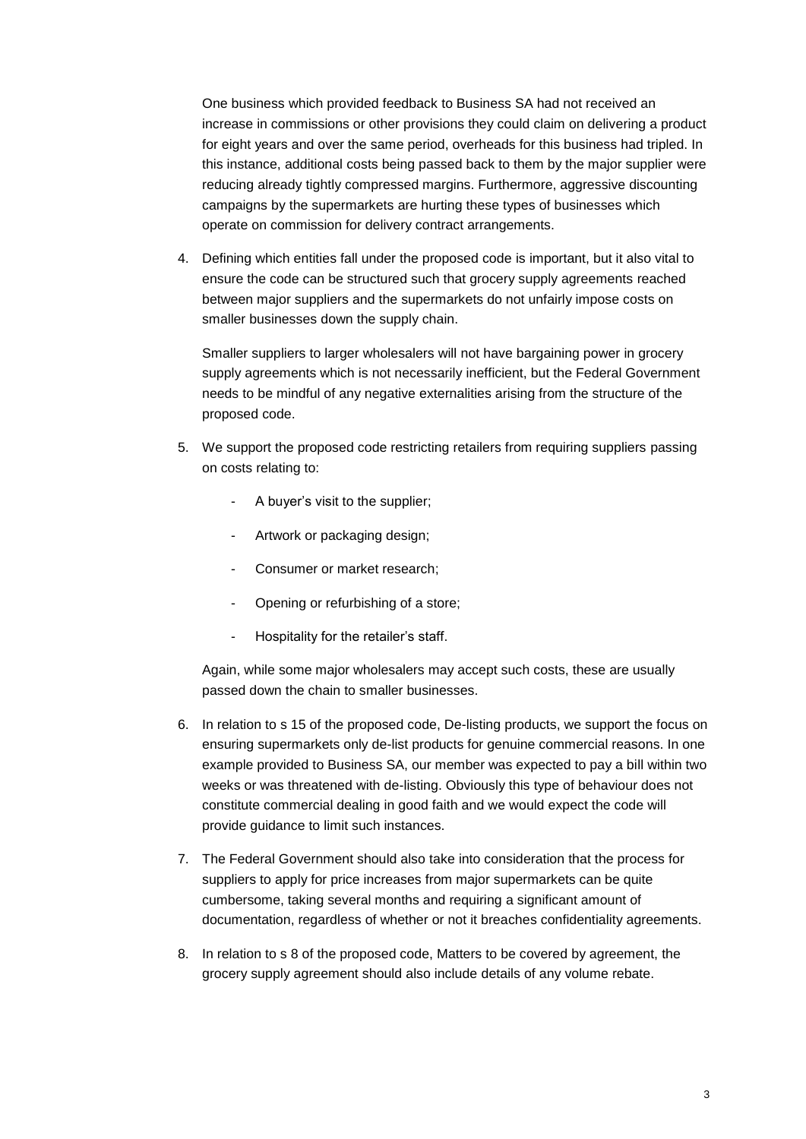One business which provided feedback to Business SA had not received an increase in commissions or other provisions they could claim on delivering a product for eight years and over the same period, overheads for this business had tripled. In this instance, additional costs being passed back to them by the major supplier were reducing already tightly compressed margins. Furthermore, aggressive discounting campaigns by the supermarkets are hurting these types of businesses which operate on commission for delivery contract arrangements.

4. Defining which entities fall under the proposed code is important, but it also vital to ensure the code can be structured such that grocery supply agreements reached between major suppliers and the supermarkets do not unfairly impose costs on smaller businesses down the supply chain.

Smaller suppliers to larger wholesalers will not have bargaining power in grocery supply agreements which is not necessarily inefficient, but the Federal Government needs to be mindful of any negative externalities arising from the structure of the proposed code.

- 5. We support the proposed code restricting retailers from requiring suppliers passing on costs relating to:
	- A buyer's visit to the supplier;
	- Artwork or packaging design;
	- Consumer or market research;
	- Opening or refurbishing of a store;
	- Hospitality for the retailer's staff.

Again, while some major wholesalers may accept such costs, these are usually passed down the chain to smaller businesses.

- 6. In relation to s 15 of the proposed code, De-listing products, we support the focus on ensuring supermarkets only de-list products for genuine commercial reasons. In one example provided to Business SA, our member was expected to pay a bill within two weeks or was threatened with de-listing. Obviously this type of behaviour does not constitute commercial dealing in good faith and we would expect the code will provide guidance to limit such instances.
- 7. The Federal Government should also take into consideration that the process for suppliers to apply for price increases from major supermarkets can be quite cumbersome, taking several months and requiring a significant amount of documentation, regardless of whether or not it breaches confidentiality agreements.
- 8. In relation to s 8 of the proposed code, Matters to be covered by agreement, the grocery supply agreement should also include details of any volume rebate.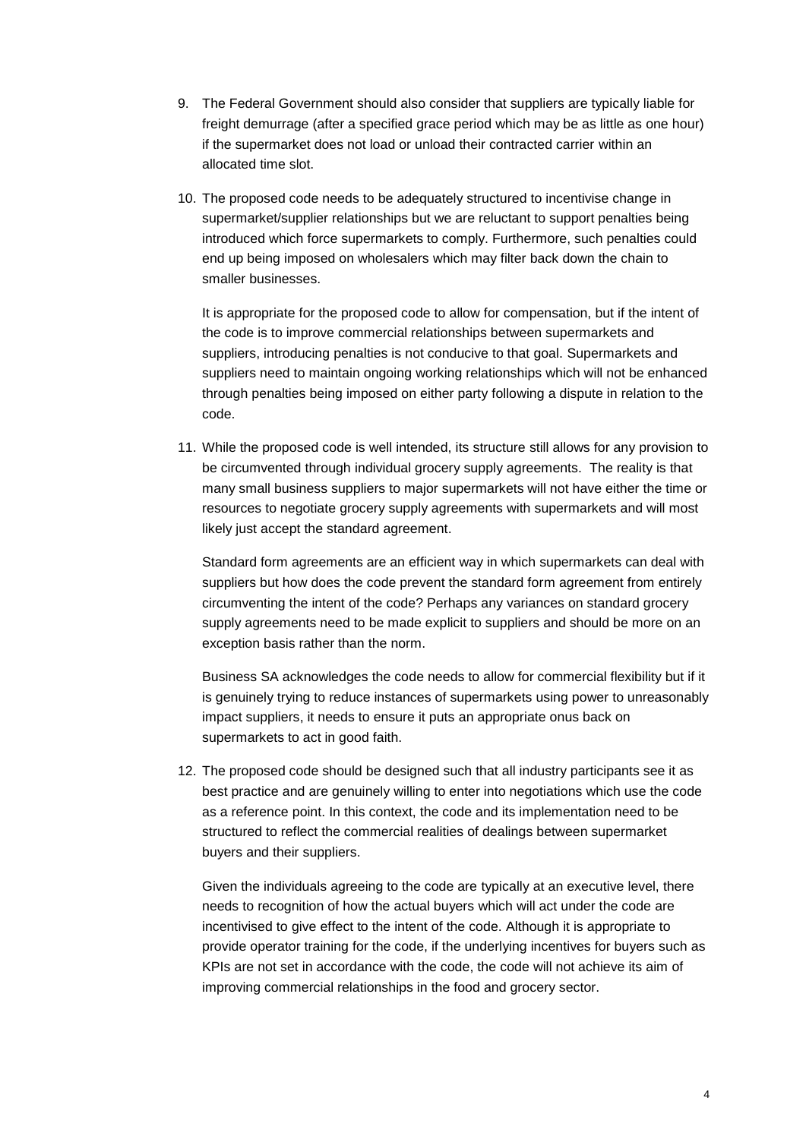- 9. The Federal Government should also consider that suppliers are typically liable for freight demurrage (after a specified grace period which may be as little as one hour) if the supermarket does not load or unload their contracted carrier within an allocated time slot.
- 10. The proposed code needs to be adequately structured to incentivise change in supermarket/supplier relationships but we are reluctant to support penalties being introduced which force supermarkets to comply. Furthermore, such penalties could end up being imposed on wholesalers which may filter back down the chain to smaller businesses.

It is appropriate for the proposed code to allow for compensation, but if the intent of the code is to improve commercial relationships between supermarkets and suppliers, introducing penalties is not conducive to that goal. Supermarkets and suppliers need to maintain ongoing working relationships which will not be enhanced through penalties being imposed on either party following a dispute in relation to the code.

11. While the proposed code is well intended, its structure still allows for any provision to be circumvented through individual grocery supply agreements. The reality is that many small business suppliers to major supermarkets will not have either the time or resources to negotiate grocery supply agreements with supermarkets and will most likely just accept the standard agreement.

Standard form agreements are an efficient way in which supermarkets can deal with suppliers but how does the code prevent the standard form agreement from entirely circumventing the intent of the code? Perhaps any variances on standard grocery supply agreements need to be made explicit to suppliers and should be more on an exception basis rather than the norm.

Business SA acknowledges the code needs to allow for commercial flexibility but if it is genuinely trying to reduce instances of supermarkets using power to unreasonably impact suppliers, it needs to ensure it puts an appropriate onus back on supermarkets to act in good faith.

12. The proposed code should be designed such that all industry participants see it as best practice and are genuinely willing to enter into negotiations which use the code as a reference point. In this context, the code and its implementation need to be structured to reflect the commercial realities of dealings between supermarket buyers and their suppliers.

Given the individuals agreeing to the code are typically at an executive level, there needs to recognition of how the actual buyers which will act under the code are incentivised to give effect to the intent of the code. Although it is appropriate to provide operator training for the code, if the underlying incentives for buyers such as KPIs are not set in accordance with the code, the code will not achieve its aim of improving commercial relationships in the food and grocery sector.